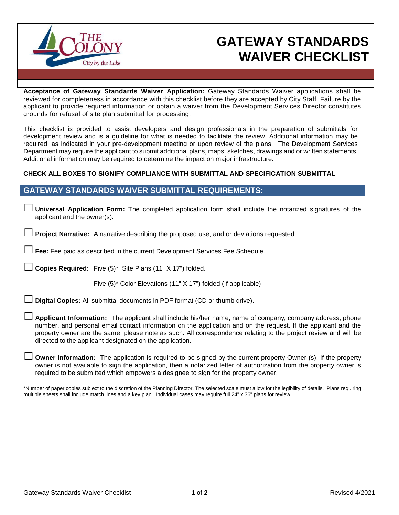

## **GATEWAY STANDARDS WAIVER CHECKLIST**

**Acceptance of Gateway Standards Waiver Application:** Gateway Standards Waiver applications shall be reviewed for completeness in accordance with this checklist before they are accepted by City Staff. Failure by the applicant to provide required information or obtain a waiver from the Development Services Director constitutes grounds for refusal of site plan submittal for processing.

This checklist is provided to assist developers and design professionals in the preparation of submittals for development review and is a guideline for what is needed to facilitate the review. Additional information may be required, as indicated in your pre-development meeting or upon review of the plans. The Development Services Department may require the applicant to submit additional plans, maps, sketches, drawings and or written statements. Additional information may be required to determine the impact on major infrastructure.

## **CHECK ALL BOXES TO SIGNIFY COMPLIANCE WITH SUBMITTAL AND SPECIFICATION SUBMITTAL**

## **GATEWAY STANDARDS WAIVER SUBMITTAL REQUIREMENTS:**

□ **Universal Application Form:** The completed application form shall include the notarized signatures of the applicant and the owner(s).

**Project Narrative:** A narrative describing the proposed use, and or deviations requested.

Fee: Fee paid as described in the current Development Services Fee Schedule.

**Copies Required:** Five (5)\* Site Plans (11" X 17") folded.

Five (5)\* Color Elevations (11" X 17") folded (If applicable)

**Digital Copies:** All submittal documents in PDF format (CD or thumb drive).

Applicant Information: The applicant shall include his/her name, name of company, company address, phone number, and personal email contact information on the application and on the request. If the applicant and the property owner are the same, please note as such. All correspondence relating to the project review and will be directed to the applicant designated on the application.

**Owner Information:** The application is required to be signed by the current property Owner (s). If the property owner is not available to sign the application, then a notarized letter of authorization from the property owner is required to be submitted which empowers a designee to sign for the property owner.

\*Number of paper copies subject to the discretion of the Planning Director. The selected scale must allow for the legibility of details. Plans requiring multiple sheets shall include match lines and a key plan. Individual cases may require full 24" x 36" plans for review.